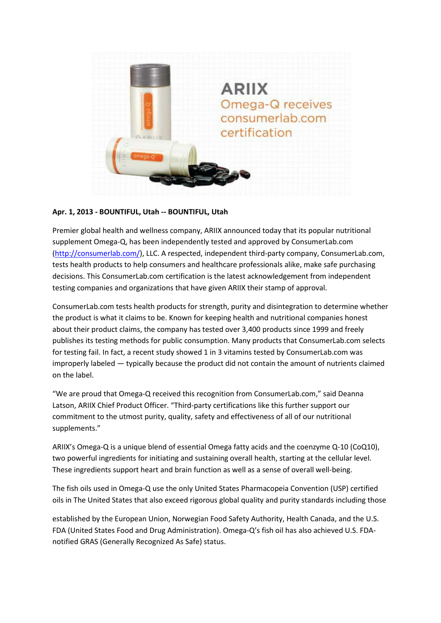

## **Apr. 1, 2013 - BOUNTIFUL, Utah -- BOUNTIFUL, Utah**

Premier global health and wellness company, ARIIX announced today that its popular nutritional supplement Omega-Q, has been independently tested and approved by ConsumerLab.com [\(http://consumerlab.com/\)](http://consumerlab.com/), LLC. A respected, independent third-party company, ConsumerLab.com, tests health products to help consumers and healthcare professionals alike, make safe purchasing decisions. This ConsumerLab.com certification is the latest acknowledgement from independent testing companies and organizations that have given ARIIX their stamp of approval.

ConsumerLab.com tests health products for strength, purity and disintegration to determine whether the product is what it claims to be. Known for keeping health and nutritional companies honest about their product claims, the company has tested over 3,400 products since 1999 and freely publishes its testing methods for public consumption. Many products that ConsumerLab.com selects for testing fail. In fact, a recent study showed 1 in 3 vitamins tested by ConsumerLab.com was improperly labeled — typically because the product did not contain the amount of nutrients claimed on the label.

"We are proud that Omega-Q received this recognition from ConsumerLab.com," said Deanna Latson, ARIIX Chief Product Officer. "Third-party certifications like this further support our commitment to the utmost purity, quality, safety and effectiveness of all of our nutritional supplements."

ARIIX's Omega-Q is a unique blend of essential Omega fatty acids and the coenzyme Q-10 (CoQ10), two powerful ingredients for initiating and sustaining overall health, starting at the cellular level. These ingredients support heart and brain function as well as a sense of overall well-being.

The fish oils used in Omega-Q use the only United States Pharmacopeia Convention (USP) certified oils in The United States that also exceed rigorous global quality and purity standards including those

established by the European Union, Norwegian Food Safety Authority, Health Canada, and the U.S. FDA (United States Food and Drug Administration). Omega-Q's fish oil has also achieved U.S. FDAnotified GRAS (Generally Recognized As Safe) status.